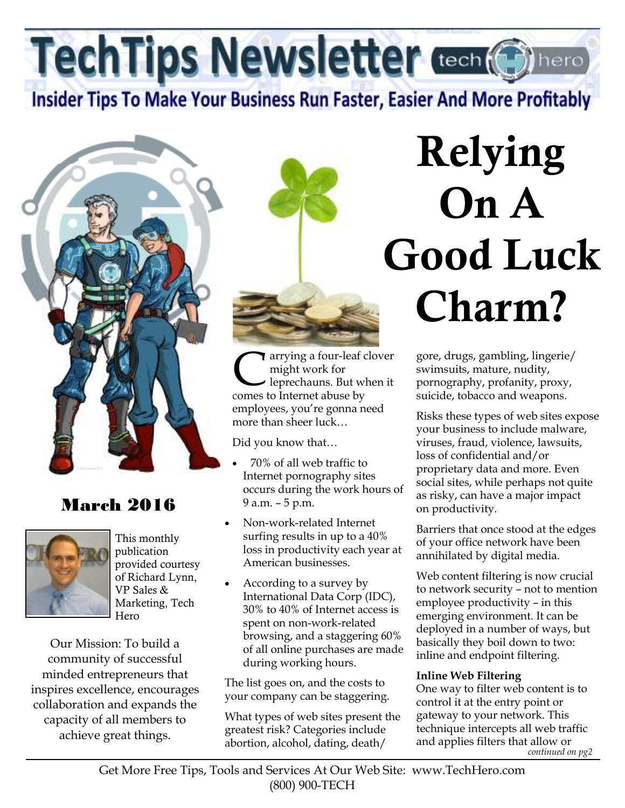TechTips Newsletter Cech Chinero

**Insider Tips To Make Your Business Run Faster, Easier And More Profitably** 



# March 2016



This monthly publication provided courtesy of Richard Lynn, VP Sales & Marketing, Tech Hero

Our Mission: To build a community of successful minded entrepreneurs that inspires excellence, encourages collaboration and expands the capacity of all members to achieve great things.



**C** arrying a four-leaf clover<br>might work for<br>leprechauns. But when it<br>comes to Internet abuse by might work for leprechauns. But when it comes to Internet abuse by employees, you're gonna need more than sheer luck…

Did you know that…

- 70% of all web traffic to Internet pornography sites occurs during the work hours of 9 a.m. – 5 p.m.
- Non-work-related Internet surfing results in up to a 40% loss in productivity each year at American businesses.
- According to a survey by International Data Corp (IDC), 30% to 40% of Internet access is spent on non-work-related browsing, and a staggering 60% of all online purchases are made during working hours.

The list goes on, and the costs to your company can be staggering.

What types of web sites present the greatest risk? Categories include abortion, alcohol, dating, death/

# **Relying On A Good Luck Charm?**

gore, drugs, gambling, lingerie/ swimsuits, mature, nudity, pornography, profanity, proxy, suicide, tobacco and weapons.

Risks these types of web sites expose your business to include malware, viruses, fraud, violence, lawsuits, loss of confidential and/or proprietary data and more. Even social sites, while perhaps not quite as risky, can have a major impact on productivity.

Barriers that once stood at the edges of your office network have been annihilated by digital media.

Web content filtering is now crucial to network security – not to mention employee productivity – in this emerging environment. It can be deployed in a number of ways, but basically they boil down to two: inline and endpoint filtering.

#### **Inline Web Filtering**

One way to filter web content is to control it at the entry point or gateway to your network. This technique intercepts all web traffic and applies filters that allow or *continued on pg2*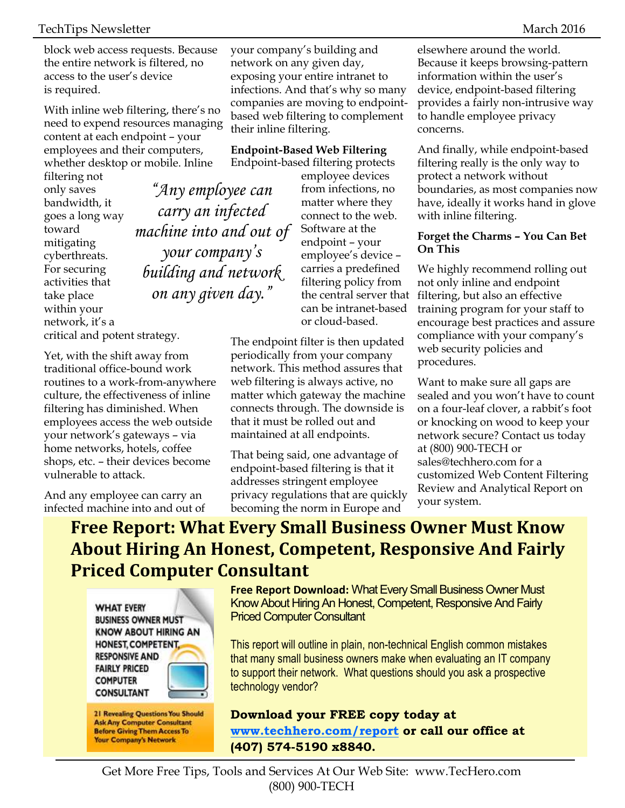block web access requests. Because the entire network is filtered, no access to the user's device is required.

With inline web filtering, there's no need to expend resources managing content at each endpoint – your employees and their computers, whether desktop or mobile. Inline

filtering not only saves bandwidth, it goes a long way toward mitigating cyberthreats. For securing activities that take place within your network, it's a critical and potent strategy.

Yet, with the shift away from traditional office-bound work routines to a work-from-anywhere culture, the effectiveness of inline filtering has diminished. When employees access the web outside your network's gateways – via home networks, hotels, coffee shops, etc. – their devices become vulnerable to attack.

And any employee can carry an infected machine into and out of your company's building and network on any given day, exposing your entire intranet to infections. And that's why so many companies are moving to endpointbased web filtering to complement their inline filtering.

**Endpoint-Based Web Filtering**  Endpoint-based filtering protects

> employee devices from infections, no matter where they connect to the web. Software at the endpoint – your employee's device – carries a predefined filtering policy from the central server that can be intranet-based or cloud-based.

The endpoint filter is then updated periodically from your company network. This method assures that web filtering is always active, no matter which gateway the machine connects through. The downside is that it must be rolled out and maintained at all endpoints.

That being said, one advantage of endpoint-based filtering is that it addresses stringent employee privacy regulations that are quickly becoming the norm in Europe and

elsewhere around the world. Because it keeps browsing-pattern information within the user's device, endpoint-based filtering provides a fairly non-intrusive way to handle employee privacy concerns.

And finally, while endpoint-based filtering really is the only way to protect a network without boundaries, as most companies now have, ideally it works hand in glove with inline filtering.

#### **Forget the Charms – You Can Bet On This**

We highly recommend rolling out not only inline and endpoint filtering, but also an effective training program for your staff to encourage best practices and assure compliance with your company's web security policies and procedures.

Want to make sure all gaps are sealed and you won't have to count on a four-leaf clover, a rabbit's foot or knocking on wood to keep your network secure? Contact us today at (800) 900-TECH or sales@techhero.com for a customized Web Content Filtering Review and Analytical Report on your system.

# **Free Report: What Every Small Business Owner Must Know About Hiring An Honest, Competent, Responsive And Fairly Priced Computer Consultant**

**WHAT EVERY BUSINESS OWNER MUST KNOW ABOUT HIRING AN** HONEST, COMPETENT, **RESPONSIVE AND FAIRLY PRICED COMPUTER CONSULTANT** 

**21 Revealing Questions You Should Ask Any Computer Consultant Before Giving Them Access To Your Company's Network** 

**Free Report Download:** What Every Small Business Owner Must Know About Hiring An Honest, Competent, Responsive And Fairly Priced Computer Consultant

This report will outline in plain, non-technical English common mistakes that many small business owners make when evaluating an IT company to support their network. What questions should you ask a prospective technology vendor?

**Download your FREE copy today at www.techhero.com/report or call our office at (407) 574-5190 x8840.** 

*"Any employee can carry an infected machine into and out of your company's building and network on any given day."*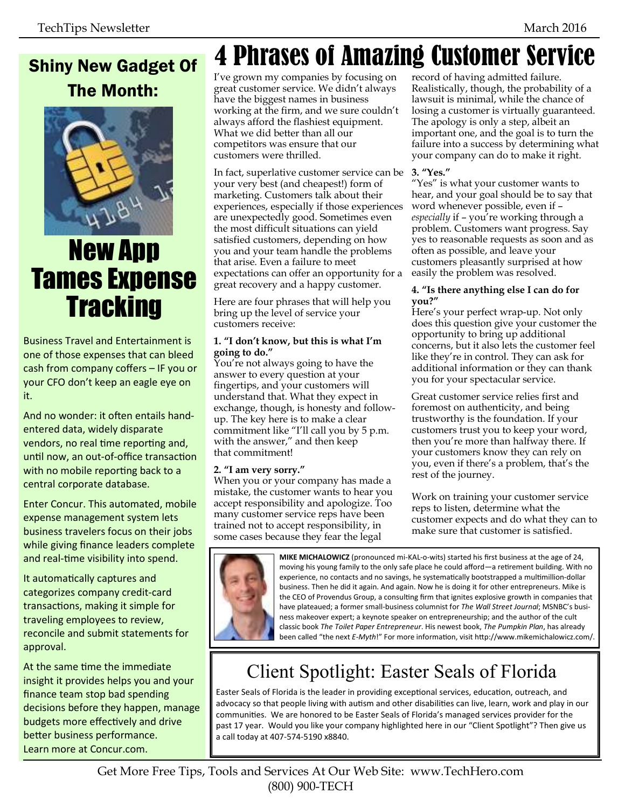# Shiny New Gadget Of The Month:



# New App Tames Expense **Tracking**

Business Travel and Entertainment is one of those expenses that can bleed cash from company coffers – IF you or your CFO don't keep an eagle eye on it.

And no wonder: it often entails handentered data, widely disparate vendors, no real time reporting and, until now, an out-of-office transaction with no mobile reporting back to a central corporate database.

Enter Concur. This automated, mobile expense management system lets business travelers focus on their jobs while giving finance leaders complete and real-time visibility into spend.

It automatically captures and categorizes company credit-card transactions, making it simple for traveling employees to review, reconcile and submit statements for approval.

At the same time the immediate insight it provides helps you and your finance team stop bad spending decisions before they happen, manage budgets more effectively and drive better business performance. Learn more at Concur.com.

# 4 Phrases of Amazing Customer Service

I've grown my companies by focusing on great customer service. We didn't always have the biggest names in business working at the firm, and we sure couldn't always afford the flashiest equipment. What we did better than all our competitors was ensure that our customers were thrilled.

In fact, superlative customer service can be your very best (and cheapest!) form of marketing. Customers talk about their experiences, especially if those experiences are unexpectedly good. Sometimes even the most difficult situations can yield satisfied customers, depending on how you and your team handle the problems that arise. Even a failure to meet expectations can offer an opportunity for a great recovery and a happy customer.

Here are four phrases that will help you bring up the level of service your customers receive:

#### **1. "I don't know, but this is what I'm going to do."**

You're not always going to have the answer to every question at your fingertips, and your customers will understand that. What they expect in exchange, though, is honesty and followup. The key here is to make a clear commitment like "I'll call you by 5 p.m. with the answer," and then keep that commitment!

#### **2. "I am very sorry."**

When you or your company has made a mistake, the customer wants to hear you accept responsibility and apologize. Too many customer service reps have been trained not to accept responsibility, in some cases because they fear the legal

record of having admitted failure. Realistically, though, the probability of a lawsuit is minimal, while the chance of losing a customer is virtually guaranteed. The apology is only a step, albeit an important one, and the goal is to turn the failure into a success by determining what your company can do to make it right.

#### **3. "Yes."**

"Yes" is what your customer wants to hear, and your goal should be to say that word whenever possible, even if – *especially* if – you're working through a problem. Customers want progress. Say yes to reasonable requests as soon and as often as possible, and leave your customers pleasantly surprised at how easily the problem was resolved.

#### **4. "Is there anything else I can do for you?"**

Here's your perfect wrap-up. Not only does this question give your customer the opportunity to bring up additional concerns, but it also lets the customer feel like they're in control. They can ask for additional information or they can thank you for your spectacular service.

Great customer service relies first and foremost on authenticity, and being trustworthy is the foundation. If your customers trust you to keep your word, then you're more than halfway there. If your customers know they can rely on you, even if there's a problem, that's the rest of the journey.

Work on training your customer service reps to listen, determine what the customer expects and do what they can to make sure that customer is satisfied.



**MIKE MICHALOWICZ** (pronounced mi-KAL-o-wits) started his first business at the age of 24, moving his young family to the only safe place he could afford—a retirement building. With no experience, no contacts and no savings, he systematically bootstrapped a multimillion-dollar business. Then he did it again. And again. Now he is doing it for other entrepreneurs. Mike is the CEO of Provendus Group, a consulting firm that ignites explosive growth in companies that have plateaued; a former small-business columnist for *The Wall Street Journal*; MSNBC's business makeover expert; a keynote speaker on entrepreneurship; and the author of the cult classic book *The Toilet Paper Entrepreneur*. His newest book, *The Pumpkin Plan*, has already been called "the next *E-Myth*!" For more information, visit http://www.mikemichalowicz.com/.

# Client Spotlight: Easter Seals of Florida

Easter Seals of Florida is the leader in providing exceptional services, education, outreach, and advocacy so that people living with autism and other disabilities can live, learn, work and play in our communities. We are honored to be Easter Seals of Florida's managed services provider for the past 17 year. Would you like your company highlighted here in our "Client Spotlight"? Then give us a call today at 407-574-5190 x8840.